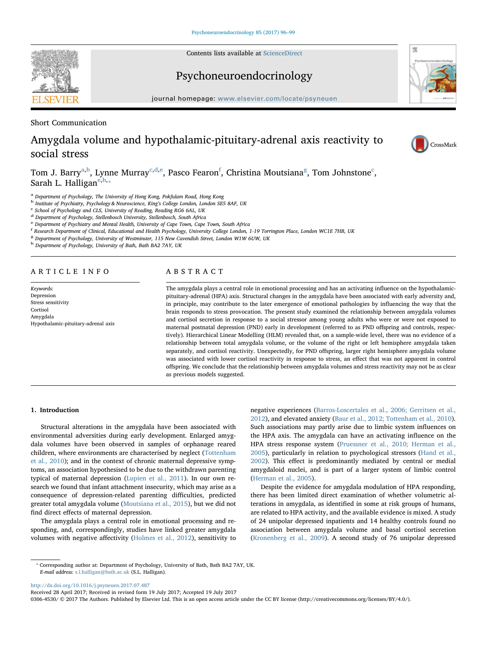Contents lists available at [ScienceDirect](http://www.sciencedirect.com/science/journal/03064530)



Psychoneuroendocrinology



journal homepage: [www.elsevier.com/locate/psyneuen](http://www.elsevier.com/locate/psyneuen)

Short Communication

# Amygdala volume and hypothalamic-pituitary-adrenal axis reactivity to social stress



Tom J. B[a](#page-0-0)rry<sup>a,[b](#page-0-1)</sup>, Lynne Murray<sup>[c,](#page-0-2)[d](#page-0-3)[,e](#page-0-4)</sup>, Pasco Fearon<sup>[f](#page-0-5)</sup>, Christina Moutsiana<sup>[g](#page-0-6)</sup>, Tom Johnstone<sup>[c](#page-0-2)</sup>, Sarah L. Halligan<sup>[e](#page-0-4)[,h,](#page-0-7)</sup>

<span id="page-0-0"></span><sup>a</sup> Department of Psychology, The University of Hong Kong, Pokfulam Road, Hong Kong

- <span id="page-0-1"></span> $^{\rm b}$  Institute of Psychiatry, Psychology & Neuroscience, King's College London, London SE5 8AF, UK  $^{\rm c}$  School of Psychology and CLS, University of Reading, Reading RG6 6AL, UK
- <span id="page-0-2"></span>
- <span id="page-0-3"></span><sup>d</sup> Department of Psychology, Stellenbosch University, Stellenbosch, South Africa
- <span id="page-0-4"></span><sup>e</sup> Department of Psychiatry and Mental Health, University of Cape Town, Cape Town, South Africa
- <span id="page-0-5"></span>f Research Department of Clinical, Educational and Health Psychology, University College London, 1-19 Torrington Place, London WC1E 7HB, UK
- <span id="page-0-6"></span><sup>8</sup> Department of Psychology, University of Westminster, 115 New Cavendish Street, London W1W 6UW, UK

<span id="page-0-7"></span><sup>h</sup> Department of Psychology, University of Bath, Bath BA2 7AY, UK

# ARTICLE INFO

Keywords: Depression Stress sensitivity **Cortisol** Amygdala Hypothalamic-pituitary-adrenal axis

# ABSTRACT

The amygdala plays a central role in emotional processing and has an activating influence on the hypothalamicpituitary-adrenal (HPA) axis. Structural changes in the amygdala have been associated with early adversity and, in principle, may contribute to the later emergence of emotional pathologies by influencing the way that the brain responds to stress provocation. The present study examined the relationship between amygdala volumes and cortisol secretion in response to a social stressor among young adults who were or were not exposed to maternal postnatal depression (PND) early in development (referred to as PND offspring and controls, respectively). Hierarchical Linear Modelling (HLM) revealed that, on a sample-wide level, there was no evidence of a relationship between total amygdala volume, or the volume of the right or left hemisphere amygdala taken separately, and cortisol reactivity. Unexpectedly, for PND offspring, larger right hemisphere amygdala volume was associated with lower cortisol reactivity in response to stress, an effect that was not apparent in control offspring. We conclude that the relationship between amygdala volumes and stress reactivity may not be as clear as previous models suggested.

# 1. Introduction

Structural alterations in the amygdala have been associated with environmental adversities during early development. Enlarged amygdala volumes have been observed in samples of orphanage reared children, where environments are characterised by neglect [\(Tottenham](#page-3-0) [et al., 2010\)](#page-3-0); and in the context of chronic maternal depressive symptoms, an association hypothesised to be due to the withdrawn parenting typical of maternal depression ([Lupien et al., 2011](#page-3-1)). In our own research we found that infant attachment insecurity, which may arise as a consequence of depression-related parenting difficulties, predicted greater total amygdala volume ([Moutsiana et al., 2015\)](#page-3-2), but we did not find direct effects of maternal depression.

The amygdala plays a central role in emotional processing and responding, and, correspondingly, studies have linked greater amygdala volumes with negative affectivity [\(Holmes et al., 2012](#page-3-3)), sensitivity to negative experiences ([Barros-Loscertales et al., 2006; Gerritsen et al.,](#page-3-4) [2012\)](#page-3-4), and elevated anxiety ([Baur et al., 2012; Tottenham et al., 2010](#page-3-5)). Such associations may partly arise due to limbic system influences on the HPA axis. The amygdala can have an activating influence on the HPA stress response system ([Pruessner et al., 2010; Herman et al.,](#page-3-6) [2005\)](#page-3-6), particularly in relation to psychological stressors ([Hand et al.,](#page-3-7) [2002\)](#page-3-7). This effect is predominantly mediated by central or medial amygdaloid nuclei, and is part of a larger system of limbic control ([Herman et al., 2005](#page-3-8)).

Despite the evidence for amygdala modulation of HPA responding, there has been limited direct examination of whether volumetric alterations in amygdala, as identified in some at risk groups of humans, are related to HPA activity, and the available evidence is mixed. A study of 24 unipolar depressed inpatients and 14 healthy controls found no association between amygdala volume and basal cortisol secretion ([Kronenberg et al., 2009](#page-3-9)). A second study of 76 unipolar depressed

<http://dx.doi.org/10.1016/j.psyneuen.2017.07.487>

0306-4530/ © 2017 The Authors. Published by Elsevier Ltd. This is an open access article under the CC BY license (http://creativecommons.org/licenses/BY/4.0/).

<span id="page-0-8"></span><sup>⁎</sup> Corresponding author at: Department of Psychology, University of Bath, Bath BA2 7AY, UK. E-mail address: [s.l.halligan@bath.ac.uk](mailto:s.l.halligan@bath.ac.uk) (S.L. Halligan).

Received 28 April 2017; Received in revised form 19 July 2017; Accepted 19 July 2017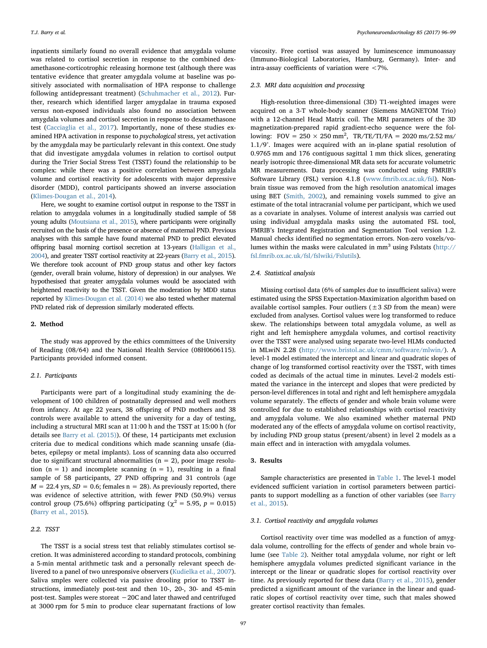inpatients similarly found no overall evidence that amygdala volume was related to cortisol secretion in response to the combined dexamethasone-corticotrophic releasing hormone test (although there was tentative evidence that greater amygdala volume at baseline was positively associated with normalisation of HPA response to challenge following antidepressant treatment) ([Schuhmacher et al., 2012\)](#page-3-10). Further, research which identified larger amygdalae in trauma exposed versus non-exposed individuals also found no association between amygdala volumes and cortisol secretion in response to dexamethasone test ([Cacciaglia et al., 2017](#page-3-11)). Importantly, none of these studies examined HPA activation in response to psychological stress, yet activation by the amygdala may be particularly relevant in this context. One study that did investigate amygdala volumes in relation to cortisol output during the Trier Social Stress Test (TSST) found the relationship to be complex: while there was a positive correlation between amygdala volume and cortisol reactivity for adolescents with major depressive disorder (MDD), control participants showed an inverse association ([Klimes-Dougan et al., 2014](#page-3-12)).

Here, we sought to examine cortisol output in response to the TSST in relation to amygdala volumes in a longitudinally studied sample of 58 young adults [\(Moutsiana et al., 2015\)](#page-3-2), where participants were originally recruited on the basis of the presence or absence of maternal PND. Previous analyses with this sample have found maternal PND to predict elevated offspring basal morning cortisol secretion at 13-years [\(Halligan et al.,](#page-3-13) [2004\)](#page-3-13), and greater TSST cortisol reactivity at 22-years [\(Barry et al., 2015\)](#page-3-14). We therefore took account of PND group status and other key factors (gender, overall brain volume, history of depression) in our analyses. We hypothesised that greater amygdala volumes would be associated with heightened reactivity to the TSST. Given the moderation by MDD status reported by [Klimes-Dougan et al. \(2014\)](#page-3-12) we also tested whether maternal PND related risk of depression similarly moderated effects.

## 2. Method

The study was approved by the ethics committees of the University of Reading (08/64) and the National Health Service (08H0606115). Participants provided informed consent.

## 2.1. Participants

Participants were part of a longitudinal study examining the development of 100 children of postnatally depressed and well mothers from infancy. At age 22 years, 38 offspring of PND mothers and 38 controls were available to attend the university for a day of testing, including a structural MRI scan at 11:00 h and the TSST at 15:00 h (for details see [Barry et al. \(2015\)\)](#page-3-14). Of these, 14 participants met exclusion criteria due to medical conditions which made scanning unsafe (diabetes, epilepsy or metal implants). Loss of scanning data also occurred due to significant structural abnormalities ( $n = 2$ ), poor image resolution  $(n = 1)$  and incomplete scanning  $(n = 1)$ , resulting in a final sample of 58 participants, 27 PND offspring and 31 controls (age  $M = 22.4$  yrs,  $SD = 0.6$ ; females n = 28). As previously reported, there was evidence of selective attrition, with fewer PND (50.9%) versus control group (75.6%) offspring participating ( $\chi^2$  = 5.95, p = 0.015) ([Barry et al., 2015](#page-3-14)).

## 2.2. TSST

The TSST is a social stress test that reliably stimulates cortisol secretion. It was administered according to standard protocols, combining a 5-min mental arithmetic task and a personally relevant speech delivered to a panel of two unresponsive observers ([Kudielka et al., 2007](#page-3-15)). Saliva smples were collected via passive drooling prior to TSST instructions, immediately post-test and then 10-, 20-, 30- and 45-min post-test. Samples were storeat −20C and later thawed and centrifuged at 3000 rpm for 5 min to produce clear supernatant fractions of low

viscosity. Free cortisol was assayed by luminescence immunoassay (Immuno-Biological Laboratories, Hamburg, Germany). Inter- and intra-assay coefficients of variation were <7%.

#### 2.3. MRI data acquisition and processing

High-resolution three-dimensional (3D) T1-weighted images were acquired on a 3-T whole-body scanner (Siemens MAGNETOM Trio) with a 12-channel Head Matrix coil. The MRI parameters of the 3D magnetization-prepared rapid gradient-echo sequence were the following:  $FOV = 250 \times 250$  mm<sup>2</sup>,  $TR/TE/TI/FA = 2020$  ms/2.52 ms/ 1.1/9°. Images were acquired with an in-plane spatial resolution of 0.9765 mm and 176 contiguous sagittal 1 mm thick slices, generating nearly isotropic three-dimensional MR data sets for accurate volumetric MR measurements. Data processing was conducted using FMRIB's Software Library (FSL) version 4.1.8 ([www.fmrib.ox.ac.uk/fsl](http://www.fmrib.ox.ac.uk/fsl)). Nonbrain tissue was removed from the high resolution anatomical images using BET [\(Smith, 2002\)](#page-3-16), and remaining voxels summed to give an estimate of the total intracranial volume per participant, which we used as a covariate in analyses. Volume of interest analysis was carried out using individual amygdala masks using the automated FSL tool, FMRIB's Integrated Registration and Segmentation Tool version 1.2. Manual checks identified no segmentation errors. Non-zero voxels/volumes within the masks were calculated in  $mm<sup>3</sup>$  using Fslstats [\(http://](http://fsl.fmrib.ox.ac.uk/fsl/fslwiki/Fslutils) [fsl.fmrib.ox.ac.uk/fsl/fslwiki/Fslutils](http://fsl.fmrib.ox.ac.uk/fsl/fslwiki/Fslutils)).

#### 2.4. Statistical analysis

Missing cortisol data (6% of samples due to insufficient saliva) were estimated using the SPSS Expectation-Maximization algorithm based on available cortisol samples. Four outliers ( $\pm$  3 SD from the mean) were excluded from analyses. Cortisol values were log transformed to reduce skew. The relationships between total amygdala volume, as well as right and left hemisphere amygdala volumes, and cortisol reactivity over the TSST were analysed using separate two-level HLMs conducted in MLwiN 2.28 (<http://www.bristol.ac.uk/cmm/software/mlwin/>). A level-1 model estimated the intercept and linear and quadratic slopes of change of log transformed cortisol reactivity over the TSST, with times coded as decimals of the actual time in minutes. Level-2 models estimated the variance in the intercept and slopes that were predicted by person-level differences in total and right and left hemisphere amygdala volume separately. The effects of gender and whole brain volume were controlled for due to established relationships with cortisol reactivity and amygdala volume. We also examined whether maternal PND moderated any of the effects of amygdala volume on cortisol reactivity, by including PND group status (present/absent) in level 2 models as a main effect and in interaction with amygdala volumes.

## 3. Results

Sample characteristics are presented in [Table 1](#page-2-0). The level-1 model evidenced sufficient variation in cortisol parameters between participants to support modelling as a function of other variables (see [Barry](#page-3-14) [et al., 2015](#page-3-14)).

# 3.1. Cortisol reactivity and amygdala volumes

Cortisol reactivity over time was modelled as a function of amygdala volume, controlling for the effects of gender and whole brain volume (see [Table 2](#page-3-17)). Neither total amygdala volume, nor right or left hemisphere amygdala volumes predicted significant variance in the intercept or the linear or quadratic slopes for cortisol reactivity over time. As previously reported for these data ([Barry et al., 2015\)](#page-3-14), gender predicted a significant amount of the variance in the linear and quadratic slopes of cortisol reactivity over time, such that males showed greater cortisol reactivity than females.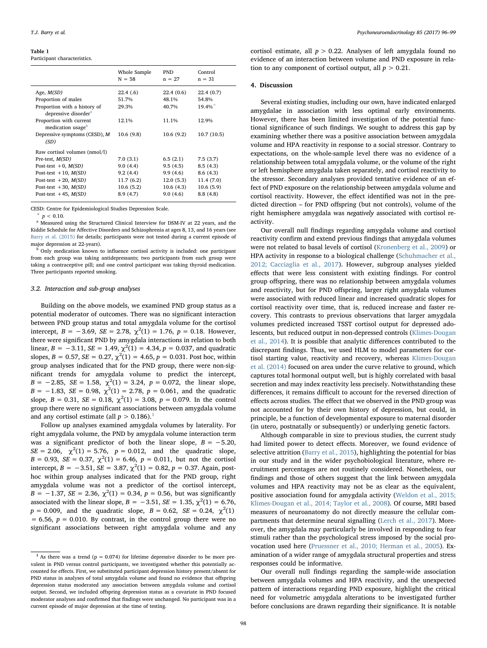#### <span id="page-2-0"></span>Table 1

Participant characteristics.

|                                                                  | Whole Sample<br>$N = 58$ | <b>PND</b><br>$n = 27$ | Control<br>$n = 31$   |
|------------------------------------------------------------------|--------------------------|------------------------|-----------------------|
| Age, $M(SD)$                                                     | 22.4(6)                  | 22.4(0.6)              | 22.4 (0.7)            |
| Proportion of males                                              | 51.7%                    | 48.1%                  | 54.8%                 |
| Proportion with a history of<br>depressive disorder <sup>a</sup> | 29.3%                    | 40.7%                  | $19.4\%$ <sup>+</sup> |
| Proportion with current<br>medication usage <sup>b</sup>         | 12.1%                    | 11.1%                  | 12.9%                 |
| Depressive symptoms (CESD), M<br>(SD)                            | 10.6(9.8)                | 10.6(9.2)              | 10.7(10.5)            |
| Raw cortisol volumes (nmol/l)                                    |                          |                        |                       |
| Pre-test, <i>M(SD)</i>                                           | 7.0(3.1)                 | 6.5(2.1)               | 7.5(3.7)              |
| Post-test $+0$ , $M(SD)$                                         | 9.0(4.4)                 | 9.5(4.5)               | 8.5(4.3)              |
| Post-test $+10$ , $M(SD)$                                        | 9.2(4.4)                 | 9.9(4.6)               | 8.6(4.3)              |
| Post-test $+20$ , $M(SD)$                                        | 11.7(6.2)                | 12.0(5.3)              | 11.4(7.0)             |
| Post-test $+30$ , $M(SD)$                                        | 10.6(5.2)                | 10.6(4.3)              | 10.6(5.9)             |
| Post-test $+45$ , $M(SD)$                                        | 8.9(4.7)                 | 9.0(4.6)               | 8.8(4.8)              |

CESD: Centre for Epidemiological Studies Depression Scale.

<span id="page-2-3"></span> $+p < 0.10$ .

<span id="page-2-2"></span><sup>a</sup> Measured using the Structured Clinical Interview for DSM-IV at 22 years, and the Kiddie Schedule for Affective Disorders and Schizophrenia at ages 8, 13, and 16 years (see [Barry et al. \(2015\)](#page-3-14) for details; participants were not tested during a current episode of major depression at 22-years).

<span id="page-2-4"></span><sup>b</sup> Only medication known to influence cortisol activity is included: one participant from each group was taking antidepressants; two participants from each group were taking a contraceptive pill; and one control participant was taking thyroid medication. Three participants reported smoking.

## 3.2. Interaction and sub-group analyses

Building on the above models, we examined PND group status as a potential moderator of outcomes. There was no significant interaction between PND group status and total amygdala volume for the cortisol intercept,  $B = -3.69$ ,  $SE = 2.78$ ,  $\chi^2(1) = 1.76$ ,  $p = 0.18$ . However, there were significant PND by amygdala interactions in relation to both linear,  $B = -3.11$ ,  $SE = 1.49$ ,  $\chi^2(1) = 4.34$ ,  $p = 0.037$ , and quadratic slopes,  $B = 0.57$ ,  $SE = 0.27$ ,  $\chi^2(1) = 4.65$ ,  $p = 0.031$ . Post hoc, within group analyses indicated that for the PND group, there were non-significant trends for amygdala volume to predict the intercept,  $B = -2.85$ ,  $SE = 1.58$ ,  $\chi^2(1) = 3.24$ ,  $p = 0.072$ , the linear slope,  $B = -1.83$ ,  $SE = 0.98$ ,  $\chi^2(1) = 2.78$ ,  $p = 0.061$ , and the quadratic slope,  $B = 0.31$ ,  $SE = 0.18$ ,  $\chi^2(1) = 3.08$ ,  $p = 0.079$ . In the control group there were no significant associations between amygdala volume and any cortisol estimate (all  $p > 0.186$  $p > 0.186$  $p > 0.186$ ).<sup>1</sup>

Follow up analyses examined amygdala volumes by laterality. For right amygdala volume, the PND by amygdala volume interaction term was a significant predictor of both the linear slope,  $B = -5.20$ ,  $SE = 2.06$ ,  $\chi^2(1) = 5.76$ ,  $p = 0.012$ , and the quadratic slope,  $B = 0.93$ ,  $SE = 0.37$ ,  $\chi^2(1) = 6.46$ ,  $p = 0.011$ , but not the cortisol intercept,  $B = -3.51$ ,  $SE = 3.87$ ,  $\chi^2(1) = 0.82$ ,  $p = 0.37$ . Again, posthoc within group analyses indicated that for the PND group, right amygdala volume was not a predictor of the cortisol intercept,  $B = -1.37$ ,  $SE = 2.36$ ,  $\chi^2(1) = 0.34$ ,  $p = 0.56$ , but was significantly associated with the linear slope,  $B = -3.51$ ,  $SE = 1.35$ ,  $\chi^2(1) = 6.76$ ,  $p = 0.009$ , and the quadratic slope,  $B = 0.62$ ,  $SE = 0.24$ ,  $\chi^2(1)$  $= 6.56, p = 0.010$ . By contrast, in the control group there were no significant associations between right amygdala volume and any

cortisol estimate, all  $p > 0.22$ . Analyses of left amygdala found no evidence of an interaction between volume and PND exposure in relation to any component of cortisol output, all  $p > 0.21$ .

#### 4. Discussion

Several existing studies, including our own, have indicated enlarged amygdalae in association with less optimal early environments. However, there has been limited investigation of the potential functional significance of such findings. We sought to address this gap by examining whether there was a positive association between amygdala volume and HPA reactivity in response to a social stressor. Contrary to expectations, on the whole-sample level there was no evidence of a relationship between total amygdala volume, or the volume of the right or left hemisphere amygdala taken separately, and cortisol reactivity to the stressor. Secondary analyses provided tentative evidence of an effect of PND exposure on the relationship between amygdala volume and cortisol reactivity. However, the effect identified was not in the predicted direction – for PND offspring (but not controls), volume of the right hemisphere amygdala was negatively associated with cortisol reactivity.

Our overall null findings regarding amygdala volume and cortisol reactivity confirm and extend previous findings that amygdala volumes were not related to basal levels of cortisol ([Kronenberg et al., 2009\)](#page-3-9) or HPA activity in response to a biological challenge ([Schuhmacher et al.,](#page-3-10) [2012; Cacciaglia et al., 2017](#page-3-10)). However, subgroup analyses yielded effects that were less consistent with existing findings. For control group offspring, there was no relationship between amygdala volumes and reactivity, but for PND offspring, larger right amygdala volumes were associated with reduced linear and increased quadratic slopes for cortisol reactivity over time, that is, reduced increase and faster recovery. This contrasts to previous observations that larger amygdala volumes predicted increased TSST cortisol output for depressed adolescents, but reduced output in non-depressed controls [\(Klimes-Dougan](#page-3-12) [et al., 2014\)](#page-3-12). It is possible that analytic differences contributed to the discrepant findings. Thus, we used HLM to model parameters for cortisol starting value, reactivity and recovery, whereas [Klimes-Dougan](#page-3-12) [et al. \(2014\)](#page-3-12) focused on area under the curve relative to ground, which captures total hormonal output well, but is highly correlated with basal secretion and may index reactivity less precisely. Notwithstanding these differences, it remains difficult to account for the reversed direction of effects across studies. The effect that we observed in the PND group was not accounted for by their own history of depression, but could, in principle, be a function of developmental exposure to maternal disorder (in utero, postnatally or subsequently) or underlying genetic factors.

Although comparable in size to previous studies, the current study had limited power to detect effects. Moreover, we found evidence of selective attrition ([Barry et al., 2015](#page-3-14)), highlighting the potential for bias in our study and in the wider psychobiological literature, where recruitment percentages are not routinely considered. Nonetheless, our findings and those of others suggest that the link between amygdala volumes and HPA reactivity may not be as clear as the equivalent, positive association found for amygdala activity [\(Weldon et al., 2015;](#page-3-18) [Klimes-Dougan et al., 2014; Taylor et al., 2008\)](#page-3-18). Of course, MRI based measures of neuroanatomy do not directly measure the cellular compartments that determine neural signalling [\(Lerch et al., 2017\)](#page-3-19). Moreover, the amygdala may particularly be involved in responding to fear stimuli rather than the psychological stress imposed by the social provocation used here ([Pruessner et al., 2010; Herman et al., 2005](#page-3-6)). Examination of a wider range of amygdala structural properties and stress responses could be informative.

Our overall null findings regarding the sample-wide association between amygdala volumes and HPA reactivity, and the unexpected pattern of interactions regarding PND exposure, highlight the critical need for volumetric amygdala alterations to be investigated further before conclusions are drawn regarding their significance. It is notable

<span id="page-2-1"></span><sup>&</sup>lt;sup>1</sup> As there was a trend ( $p = 0.074$ ) for lifetime depressive disorder to be more prevalent in PND versus control participants, we investigated whether this potentially accounted for effects. First, we substituted participant depression history present/absent for PND status in analyses of total amygdala volume and found no evidence that offspring depression status moderated any association between amygdala volume and cortisol output. Second, we included offspring depression status as a covariate in PND focused moderator analyses and confirmed that findings were unchanged. No participant was in a current episode of major depression at the time of testing.